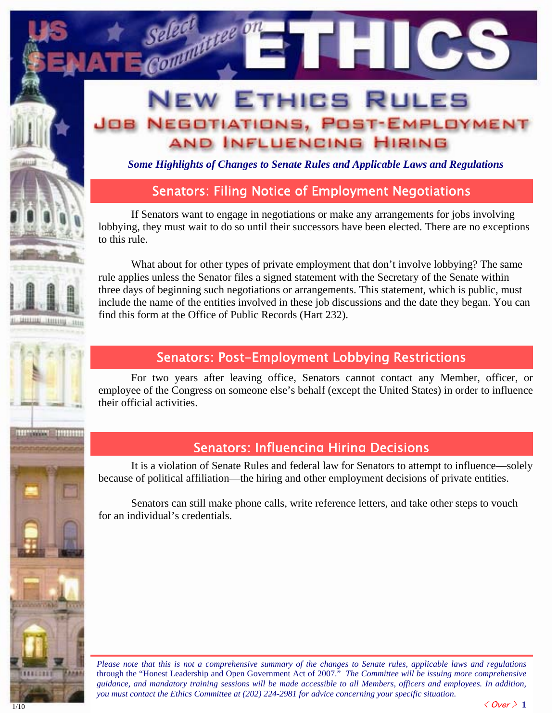## **EW ETHICS RULES NEGOTIATIONS, POST-EMPLOYMENT** AND INFLUENCING HIRING

*Some Highlights of Changes to Senate Rules and Applicable Laws and Regulations* 

### Senators: Filing Notice of Employment Negotiations

If Senators want to engage in negotiations or make any arrangements for jobs involving lobbying, they must wait to do so until their successors have been elected. There are no exceptions to this rule.

What about for other types of private employment that don't involve lobbying? The same rule applies unless the Senator files a signed statement with the Secretary of the Senate within three days of beginning such negotiations or arrangements. This statement, which is public, must include the name of the entities involved in these job discussions and the date they began. You can find this form at the Office of Public Records (Hart 232).

#### Senators: Post-Employment Lobbying Restrictions

For two years after leaving office, Senators cannot contact any Member, officer, or employee of the Congress on someone else's behalf (except the United States) in order to influence their official activities.

#### Senators: Influencing Hiring Decisions

It is a violation of Senate Rules and federal law for Senators to attempt to influence—solely because of political affiliation—the hiring and other employment decisions of private entities.

Senators can still make phone calls, write reference letters, and take other steps to vouch for an individual's credentials.

*Please note that this is not a comprehensive summary of the changes to Senate rules, applicable laws and regulations* through the "Honest Leadership and Open Government Act of 2007." *The Committee will be issuing more comprehensive guidance, and mandatory training sessions will be made accessible to all Members, officers and employees. In addition, you must contact the Ethics Committee at (202) 224-2981 for advice concerning your specific situation*.

11111111

i

**BUYONA BURGE** 

l